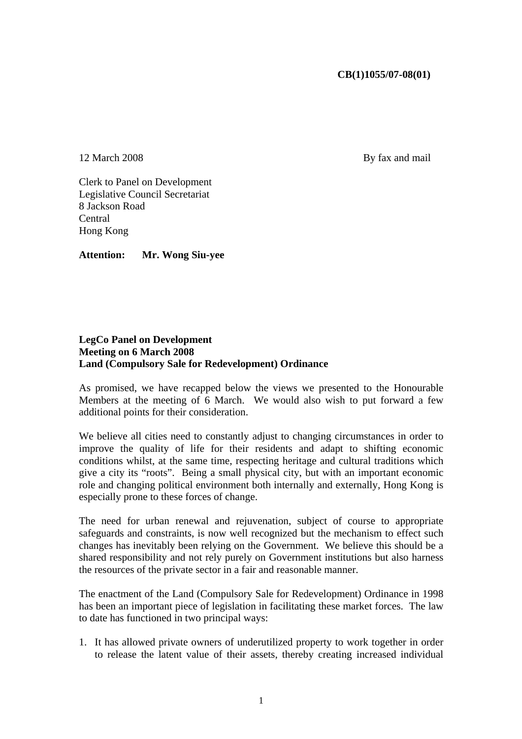## **CB(1)1055/07-08(01)**

12 March 2008 By fax and mail

Clerk to Panel on Development Legislative Council Secretariat 8 Jackson Road **Central** Hong Kong

**Attention: Mr. Wong Siu-yee** 

## **LegCo Panel on Development Meeting on 6 March 2008 Land (Compulsory Sale for Redevelopment) Ordinance**

As promised, we have recapped below the views we presented to the Honourable Members at the meeting of 6 March. We would also wish to put forward a few additional points for their consideration.

We believe all cities need to constantly adjust to changing circumstances in order to improve the quality of life for their residents and adapt to shifting economic conditions whilst, at the same time, respecting heritage and cultural traditions which give a city its "roots". Being a small physical city, but with an important economic role and changing political environment both internally and externally, Hong Kong is especially prone to these forces of change.

The need for urban renewal and rejuvenation, subject of course to appropriate safeguards and constraints, is now well recognized but the mechanism to effect such changes has inevitably been relying on the Government. We believe this should be a shared responsibility and not rely purely on Government institutions but also harness the resources of the private sector in a fair and reasonable manner.

The enactment of the Land (Compulsory Sale for Redevelopment) Ordinance in 1998 has been an important piece of legislation in facilitating these market forces. The law to date has functioned in two principal ways:

1. It has allowed private owners of underutilized property to work together in order to release the latent value of their assets, thereby creating increased individual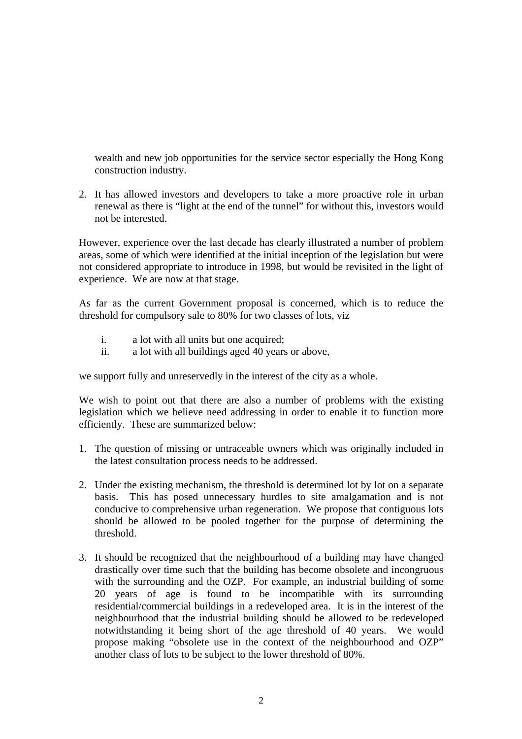wealth and new job opportunities for the service sector especially the Hong Kong construction industry.

2. It has allowed investors and developers to take a more proactive role in urban renewal as there is "light at the end of the tunnel" for without this, investors would not be interested.

However, experience over the last decade has clearly illustrated a number of problem areas, some of which were identified at the initial inception of the legislation but were not considered appropriate to introduce in 1998, but would be revisited in the light of experience. We are now at that stage.

As far as the current Government proposal is concerned, which is to reduce the threshold for compulsory sale to 80% for two classes of lots, viz

- i. a lot with all units but one acquired;
- ii. a lot with all buildings aged 40 years or above,

we support fully and unreservedly in the interest of the city as a whole.

We wish to point out that there are also a number of problems with the existing legislation which we believe need addressing in order to enable it to function more efficiently. These are summarized below:

- 1. The question of missing or untraceable owners which was originally included in the latest consultation process needs to be addressed.
- 2. Under the existing mechanism, the threshold is determined lot by lot on a separate basis. This has posed unnecessary hurdles to site amalgamation and is not conducive to comprehensive urban regeneration. We propose that contiguous lots should be allowed to be pooled together for the purpose of determining the threshold.
- 3. It should be recognized that the neighbourhood of a building may have changed drastically over time such that the building has become obsolete and incongruous with the surrounding and the OZP. For example, an industrial building of some 20 years of age is found to be incompatible with its surrounding residential/commercial buildings in a redeveloped area. It is in the interest of the neighbourhood that the industrial building should be allowed to be redeveloped notwithstanding it being short of the age threshold of 40 years. We would propose making "obsolete use in the context of the neighbourhood and OZP" another class of lots to be subject to the lower threshold of 80%.